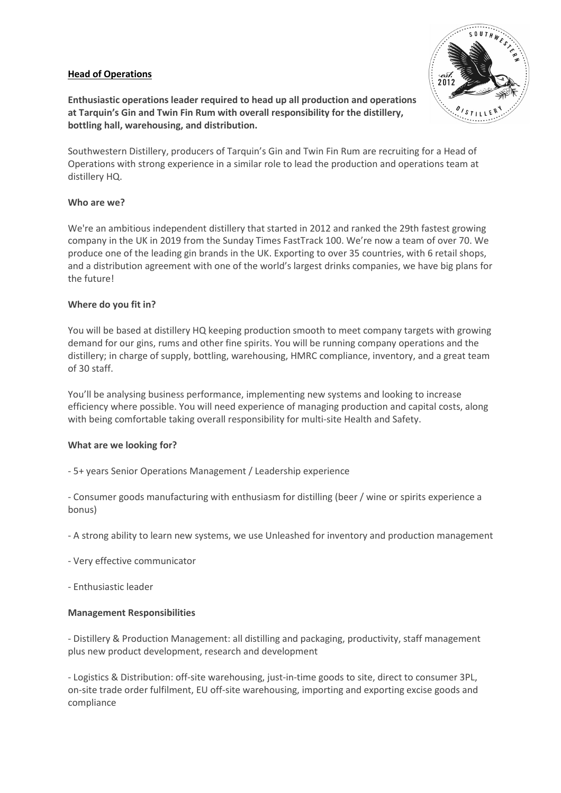## **Head of Operations**



**Enthusiastic operations leader required to head up all production and operations at Tarquin's Gin and Twin Fin Rum with overall responsibility for the distillery, bottling hall, warehousing, and distribution.**

Southwestern Distillery, producers of Tarquin's Gin and Twin Fin Rum are recruiting for a Head of Operations with strong experience in a similar role to lead the production and operations team at distillery HQ.

### **Who are we?**

We're an ambitious independent distillery that started in 2012 and ranked the 29th fastest growing company in the UK in 2019 from the Sunday Times FastTrack 100. We're now a team of over 70. We produce one of the leading gin brands in the UK. Exporting to over 35 countries, with 6 retail shops, and a distribution agreement with one of the world's largest drinks companies, we have big plans for the future!

#### **Where do you fit in?**

You will be based at distillery HQ keeping production smooth to meet company targets with growing demand for our gins, rums and other fine spirits. You will be running company operations and the distillery; in charge of supply, bottling, warehousing, HMRC compliance, inventory, and a great team of 30 staff.

You'll be analysing business performance, implementing new systems and looking to increase efficiency where possible. You will need experience of managing production and capital costs, along with being comfortable taking overall responsibility for multi-site Health and Safety.

### **What are we looking for?**

- 5+ years Senior Operations Management / Leadership experience

- Consumer goods manufacturing with enthusiasm for distilling (beer / wine or spirits experience a bonus)

- A strong ability to learn new systems, we use Unleashed for inventory and production management

- Very effective communicator
- Enthusiastic leader

### **Management Responsibilities**

- Distillery & Production Management: all distilling and packaging, productivity, staff management plus new product development, research and development

- Logistics & Distribution: off-site warehousing, just-in-time goods to site, direct to consumer 3PL, on-site trade order fulfilment, EU off-site warehousing, importing and exporting excise goods and compliance